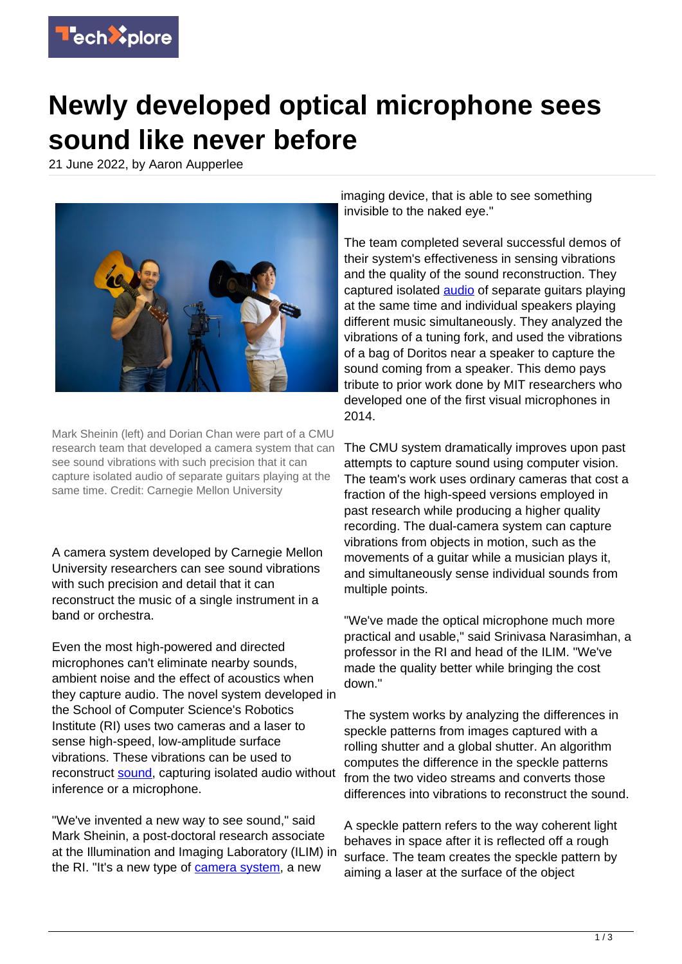

## **Newly developed optical microphone sees sound like never before**

21 June 2022, by Aaron Aupperlee



Mark Sheinin (left) and Dorian Chan were part of a CMU research team that developed a camera system that can see sound vibrations with such precision that it can capture isolated audio of separate guitars playing at the same time. Credit: Carnegie Mellon University

A camera system developed by Carnegie Mellon University researchers can see sound vibrations with such precision and detail that it can reconstruct the music of a single instrument in a band or orchestra.

Even the most high-powered and directed microphones can't eliminate nearby sounds, ambient noise and the effect of acoustics when they capture audio. The novel system developed in the School of Computer Science's Robotics Institute (RI) uses two cameras and a laser to sense high-speed, low-amplitude surface vibrations. These vibrations can be used to reconstruct [sound,](https://techxplore.com/tags/sound/) capturing isolated audio without inference or a microphone.

"We've invented a new way to see sound," said Mark Sheinin, a post-doctoral research associate at the Illumination and Imaging Laboratory (ILIM) in the RI. "It's a new type of [camera system,](https://techxplore.com/tags/camera+system/) a new

imaging device, that is able to see something invisible to the naked eye."

The team completed several successful demos of their system's effectiveness in sensing vibrations and the quality of the sound reconstruction. They captured isolated **audio** of separate guitars playing at the same time and individual speakers playing different music simultaneously. They analyzed the vibrations of a tuning fork, and used the vibrations of a bag of Doritos near a speaker to capture the sound coming from a speaker. This demo pays tribute to prior work done by MIT researchers who developed one of the first visual microphones in 2014.

The CMU system dramatically improves upon past attempts to capture sound using computer vision. The team's work uses ordinary cameras that cost a fraction of the high-speed versions employed in past research while producing a higher quality recording. The dual-camera system can capture vibrations from objects in motion, such as the movements of a guitar while a musician plays it, and simultaneously sense individual sounds from multiple points.

"We've made the optical microphone much more practical and usable," said Srinivasa Narasimhan, a professor in the RI and head of the ILIM. "We've made the quality better while bringing the cost down."

The system works by analyzing the differences in speckle patterns from images captured with a rolling shutter and a global shutter. An algorithm computes the difference in the speckle patterns from the two video streams and converts those differences into vibrations to reconstruct the sound.

A speckle pattern refers to the way coherent light behaves in space after it is reflected off a rough surface. The team creates the speckle pattern by aiming a laser at the surface of the object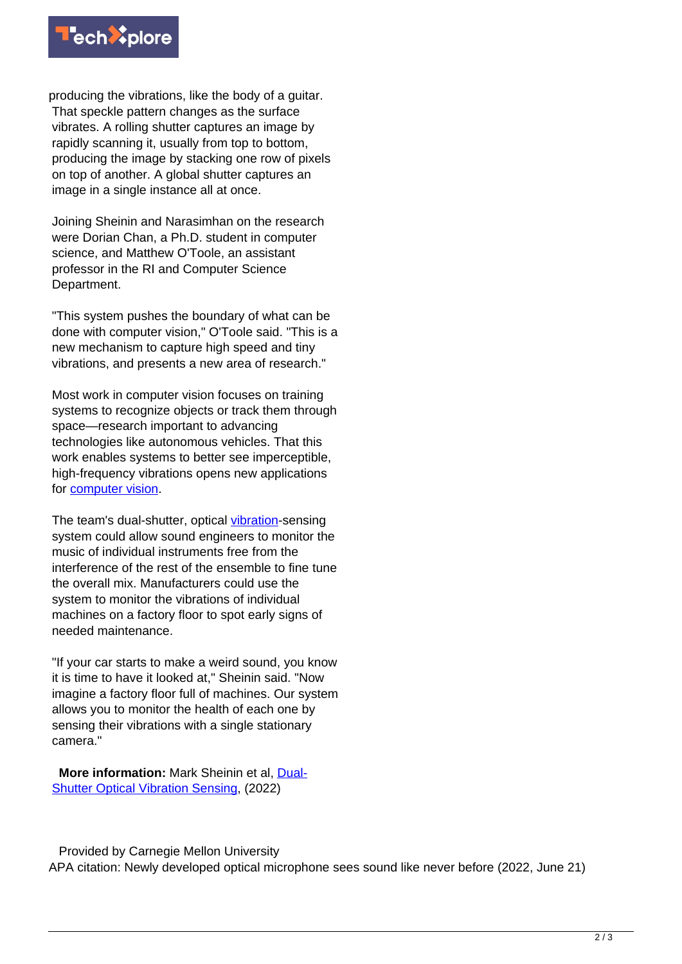

producing the vibrations, like the body of a guitar. That speckle pattern changes as the surface vibrates. A rolling shutter captures an image by rapidly scanning it, usually from top to bottom, producing the image by stacking one row of pixels on top of another. A global shutter captures an image in a single instance all at once.

Joining Sheinin and Narasimhan on the research were Dorian Chan, a Ph.D. student in computer science, and Matthew O'Toole, an assistant professor in the RI and Computer Science Department.

"This system pushes the boundary of what can be done with computer vision," O'Toole said. "This is a new mechanism to capture high speed and tiny vibrations, and presents a new area of research."

Most work in computer vision focuses on training systems to recognize objects or track them through space—research important to advancing technologies like autonomous vehicles. That this work enables systems to better see imperceptible, high-frequency vibrations opens new applications for [computer vision](https://techxplore.com/tags/computer+vision/).

The team's dual-shutter, optical [vibration](https://techxplore.com/tags/vibration/)-sensing system could allow sound engineers to monitor the music of individual instruments free from the interference of the rest of the ensemble to fine tune the overall mix. Manufacturers could use the system to monitor the vibrations of individual machines on a factory floor to spot early signs of needed maintenance.

"If your car starts to make a weird sound, you know it is time to have it looked at," Sheinin said. "Now imagine a factory floor full of machines. Our system allows you to monitor the health of each one by sensing their vibrations with a single stationary camera."

 **More information:** Mark Sheinin et al, [Dual-](https://www.marksheinin.com/_files/ugd/a41a28_7d370603fafd419da387de85d8ecb5b4.pdf)[Shutter Optical Vibration Sensing](https://www.marksheinin.com/_files/ugd/a41a28_7d370603fafd419da387de85d8ecb5b4.pdf), (2022)

 Provided by Carnegie Mellon University APA citation: Newly developed optical microphone sees sound like never before (2022, June 21)